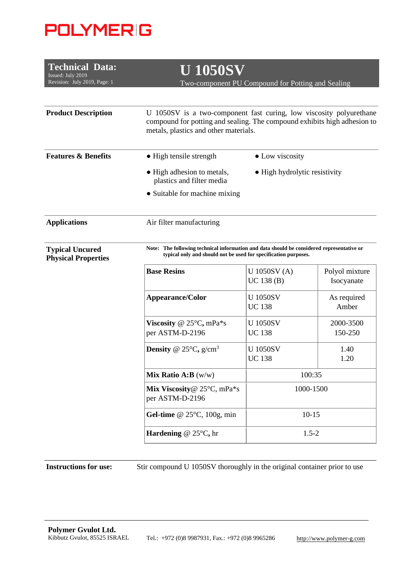## **POLYMERIG**

| <b>Technical Data:</b><br>Issued: July 2019<br>Revision: July 2019, Page: 1 | <b>U 1050SV</b><br>Two-component PU Compound for Potting and Sealing                                                                                                                     |                                 |                              |  |
|-----------------------------------------------------------------------------|------------------------------------------------------------------------------------------------------------------------------------------------------------------------------------------|---------------------------------|------------------------------|--|
|                                                                             |                                                                                                                                                                                          |                                 |                              |  |
| <b>Product Description</b>                                                  | U 1050SV is a two-component fast curing, low viscosity polyurethane<br>compound for potting and sealing. The compound exhibits high adhesion to<br>metals, plastics and other materials. |                                 |                              |  |
| <b>Features &amp; Benefits</b>                                              | • High tensile strength                                                                                                                                                                  | • Low viscosity                 |                              |  |
|                                                                             | • High adhesion to metals,<br>plastics and filter media                                                                                                                                  | • High hydrolytic resistivity   |                              |  |
|                                                                             | • Suitable for machine mixing                                                                                                                                                            |                                 |                              |  |
| <b>Applications</b>                                                         | Air filter manufacturing                                                                                                                                                                 |                                 |                              |  |
| <b>Typical Uncured</b><br><b>Physical Properties</b>                        | Note: The following technical information and data should be considered representative or<br>typical only and should not be used for specification purposes.                             |                                 |                              |  |
|                                                                             | <b>Base Resins</b>                                                                                                                                                                       | U 1050SV (A)<br>UC 138(B)       | Polyol mixture<br>Isocyanate |  |
|                                                                             | Appearance/Color                                                                                                                                                                         | <b>U1050SV</b><br><b>UC 138</b> | As required<br>Amber         |  |
|                                                                             | Viscosity @ $25^{\circ}$ C, mPa*s<br>per ASTM-D-2196                                                                                                                                     | <b>U1050SV</b><br><b>UC 138</b> | 2000-3500<br>150-250         |  |
|                                                                             | <b>Density</b> @ $25^{\circ}$ C, $g/cm^{3}$                                                                                                                                              | <b>U1050SV</b><br><b>UC 138</b> | 1.40<br>1.20                 |  |
|                                                                             | Mix Ratio $A:B(w/w)$                                                                                                                                                                     | 100:35                          |                              |  |
|                                                                             | Mix Viscosity@ 25°C, mPa*s<br>per ASTM-D-2196                                                                                                                                            | 1000-1500                       |                              |  |
|                                                                             | Gel-time @ $25^{\circ}$ C, 100g, min                                                                                                                                                     | $10-15$                         |                              |  |
|                                                                             | Hardening @ $25^{\circ}$ C, hr                                                                                                                                                           |                                 | $1.5 - 2$                    |  |

**Instructions for use:** Stir compound U 1050SV thoroughly in the original container prior to use